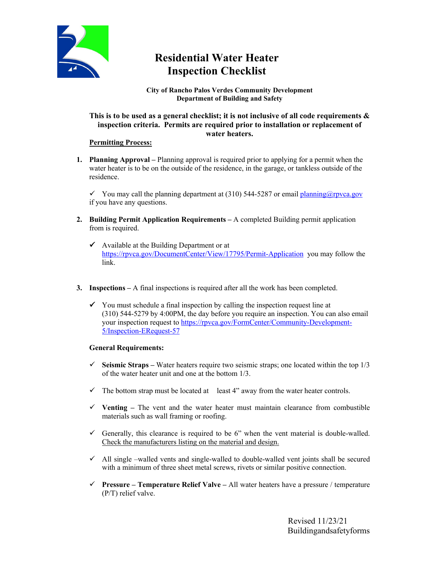

# **Residential Water Heater Inspection Checklist**

#### **City of Rancho Palos Verdes Community Development Department of Building and Safety**

## **This is to be used as a general checklist; it is not inclusive of all code requirements & inspection criteria. Permits are required prior to installation or replacement of water heaters.**

## **Permitting Process:**

**1. Planning Approval –** Planning approval is required prior to applying for a permit when the water heater is to be on the outside of the residence, in the garage, or tankless outside of the residence.

 $\checkmark$  You may call the planning department at (310) 544-5287 or emai[l planning@rpvca.gov](mailto:planning@rpvca.gov) if you have any questions.

- **2. Building Permit Application Requirements –** A completed Building permit application from is required.
	- $\checkmark$  Available at the Building Department or at <https://rpvca.gov/DocumentCenter/View/17795/Permit-Application> you may follow the link.
- **3. Inspections –** A final inspections is required after all the work has been completed.
	- $\checkmark$  You must schedule a final inspection by calling the inspection request line at (310) 544-5279 by 4:00PM, the day before you require an inspection. You can also email your inspection request to [https://rpvca.gov/FormCenter/Community-Development-](https://rpvca.gov/FormCenter/Community-Development-5/Inspection-ERequest-57)[5/Inspection-ERequest-57](https://rpvca.gov/FormCenter/Community-Development-5/Inspection-ERequest-57)

### **General Requirements:**

- $\checkmark$  Seismic Straps Water heaters require two seismic straps; one located within the top 1/3 of the water heater unit and one at the bottom 1/3.
- $\checkmark$  The bottom strap must be located at least 4" away from the water heater controls.
- $\checkmark$  Venting The vent and the water heater must maintain clearance from combustible materials such as wall framing or roofing.
- Generally, this clearance is required to be 6" when the vent material is double-walled. Check the manufacturers listing on the material and design.
- $\checkmark$  All single –walled vents and single-walled to double-walled vent joints shall be secured with a minimum of three sheet metal screws, rivets or similar positive connection.
- **Pressure – Temperature Relief Valve –** All water heaters have a pressure / temperature (P/T) relief valve.